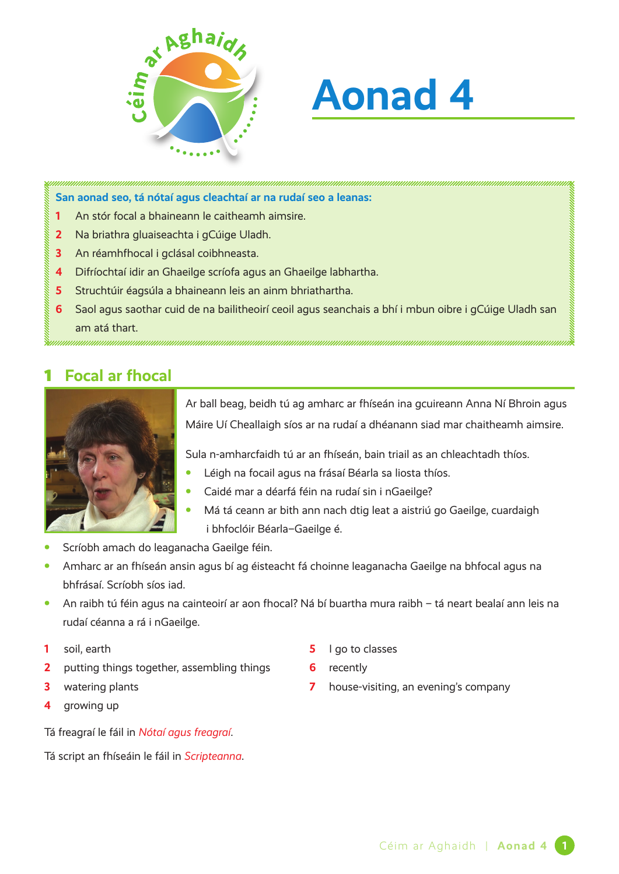

# **Aonad 4**

**San aonad seo, tá nótaí agus cleachtaí ar na rudaí seo a leanas:**

- **1** An stór focal a bhaineann le caitheamh aimsire.
- **2** Na briathra gluaiseachta i gCúige Uladh.
- **3** An réamhfhocal i gclásal coibhneasta.
- **4** Difríochtaí idir an Ghaeilge scríofa agus an Ghaeilge labhartha.
- **5** Struchtúir éagsúla a bhaineann leis an ainm bhriathartha.
- **6** Saol agus saothar cuid de na bailitheoirí ceoil agus seanchais a bhí i mbun oibre i gCúige Uladh san am atá thart.

## 1 **Focal ar fhocal**



Ar ball beag, beidh tú ag amharc ar fhíseán ina gcuireann Anna Ní Bhroin agus Máire Uí Cheallaigh síos ar na rudaí a dhéanann siad mar chaitheamh aimsire.

Sula n-amharcfaidh tú ar an fhíseán, bain triail as an chleachtadh thíos.

- **•** Léigh na focail agus na frásaí Béarla sa liosta thíos.
- **•** Caidé mar a déarfá féin na rudaí sin i nGaeilge?
- **•** Má tá ceann ar bith ann nach dtig leat a aistriú go Gaeilge, cuardaigh i bhfoclóir Béarla–Gaeilge é.
- **•** Scríobh amach do leaganacha Gaeilge féin.
- **•** Amharc ar an fhíseán ansin agus bí ag éisteacht fá choinne leaganacha Gaeilge na bhfocal agus na bhfrásaí. Scríobh síos iad.
- **•** An raibh tú féin agus na cainteoirí ar aon fhocal? Ná bí buartha mura raibh tá neart bealaí ann leis na rudaí céanna a rá i nGaeilge.
- **1** soil, earth
- **2** putting things together, assembling things
- **3** watering plants
- **4** growing up

Tá freagraí le fáil in *Nótaí agus freagraí*.

Tá script an fhíseáin le fáil in *Scripteanna*.

- **5** I go to classes
- **6** recently
- **7** house-visiting, an evening's company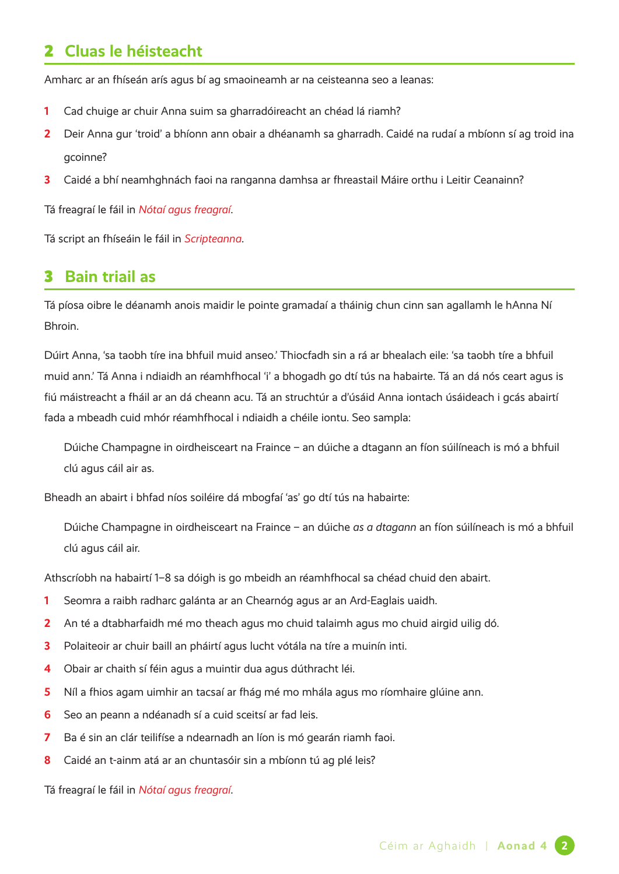## 2 **Cluas le héisteacht**

Amharc ar an fhíseán arís agus bí ag smaoineamh ar na ceisteanna seo a leanas:

- **1** Cad chuige ar chuir Anna suim sa gharradóireacht an chéad lá riamh?
- **2** Deir Anna gur 'troid' a bhíonn ann obair a dhéanamh sa gharradh. Caidé na rudaí a mbíonn sí ag troid ina gcoinne?
- **3** Caidé a bhí neamhghnách faoi na ranganna damhsa ar fhreastail Máire orthu i Leitir Ceanainn?

Tá freagraí le fáil in *Nótaí agus freagraí*.

Tá script an fhíseáin le fáil in *Scripteanna*.

#### 3 **Bain triail as**

Tá píosa oibre le déanamh anois maidir le pointe gramadaí a tháinig chun cinn san agallamh le hAnna Ní Bhroin.

Dúirt Anna, 'sa taobh tíre ina bhfuil muid anseo.' Thiocfadh sin a rá ar bhealach eile: 'sa taobh tíre a bhfuil muid ann.' Tá Anna i ndiaidh an réamhfhocal 'i' a bhogadh go dtí tús na habairte. Tá an dá nós ceart agus is fiú máistreacht a fháil ar an dá cheann acu. Tá an struchtúr a d'úsáid Anna iontach úsáideach i gcás abairtí fada a mbeadh cuid mhór réamhfhocal i ndiaidh a chéile iontu. Seo sampla:

Dúiche Champagne in oirdheisceart na Fraince – an dúiche a dtagann an fíon súilíneach is mó a bhfuil clú agus cáil air as.

Bheadh an abairt i bhfad níos soiléire dá mbogfaí 'as' go dtí tús na habairte:

Dúiche Champagne in oirdheisceart na Fraince – an dúiche *as a dtagann* an fíon súilíneach is mó a bhfuil clú agus cáil air.

Athscríobh na habairtí 1–8 sa dóigh is go mbeidh an réamhfhocal sa chéad chuid den abairt.

- **1** Seomra a raibh radharc galánta ar an Chearnóg agus ar an Ard-Eaglais uaidh.
- **2** An té a dtabharfaidh mé mo theach agus mo chuid talaimh agus mo chuid airgid uilig dó.
- **3** Polaiteoir ar chuir baill an pháirtí agus lucht vótála na tíre a muinín inti.
- **4** Obair ar chaith sí féin agus a muintir dua agus dúthracht léi.
- **5** Níl a fhios agam uimhir an tacsaí ar fhág mé mo mhála agus mo ríomhaire glúine ann.
- **6** Seo an peann a ndéanadh sí a cuid sceitsí ar fad leis.
- **7** Ba é sin an clár teilifíse a ndearnadh an líon is mó gearán riamh faoi.
- **8** Caidé an t-ainm atá ar an chuntasóir sin a mbíonn tú ag plé leis?

Tá freagraí le fáil in *Nótaí agus freagraí*.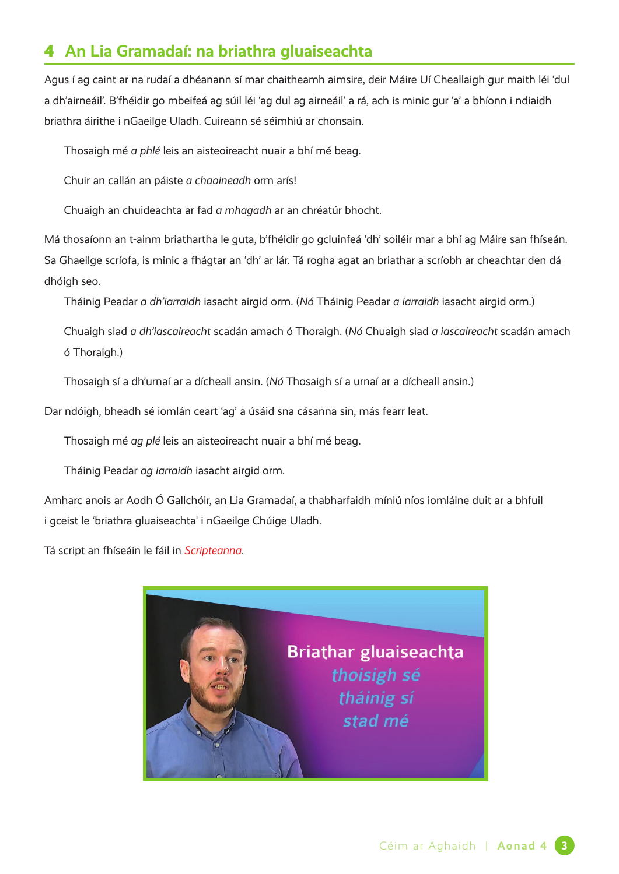# 4 **An Lia Gramadaí: na briathra gluaiseachta**

Agus í ag caint ar na rudaí a dhéanann sí mar chaitheamh aimsire, deir Máire Uí Cheallaigh gur maith léi 'dul a dh'airneáil'. B'fhéidir go mbeifeá ag súil léi 'ag dul ag airneáil' a rá, ach is minic gur 'a' a bhíonn i ndiaidh briathra áirithe i nGaeilge Uladh. Cuireann sé séimhiú ar chonsain.

Thosaigh mé *a phlé* leis an aisteoireacht nuair a bhí mé beag.

Chuir an callán an páiste *a chaoineadh* orm arís!

Chuaigh an chuideachta ar fad *a mhagadh* ar an chréatúr bhocht.

Má thosaíonn an t-ainm briathartha le guta, b'fhéidir go gcluinfeá 'dh' soiléir mar a bhí ag Máire san fhíseán. Sa Ghaeilge scríofa, is minic a fhágtar an 'dh' ar lár. Tá rogha agat an briathar a scríobh ar cheachtar den dá dhóigh seo.

Tháinig Peadar *a dh'iarraidh* iasacht airgid orm. (*Nó* Tháinig Peadar *a iarraidh* iasacht airgid orm.)

Chuaigh siad *a dh'iascaireacht* scadán amach ó Thoraigh. (*Nó* Chuaigh siad *a iascaireacht* scadán amach ó Thoraigh.)

Thosaigh sí a dh'urnaí ar a dícheall ansin. (*Nó* Thosaigh sí a urnaí ar a dícheall ansin.)

Dar ndóigh, bheadh sé iomlán ceart 'ag' a úsáid sna cásanna sin, más fearr leat.

Thosaigh mé *ag plé* leis an aisteoireacht nuair a bhí mé beag.

Tháinig Peadar *ag iarraidh* iasacht airgid orm.

Amharc anois ar Aodh Ó Gallchóir, an Lia Gramadaí, a thabharfaidh míniú níos iomláine duit ar a bhfuil i gceist le 'briathra gluaiseachta' i nGaeilge Chúige Uladh.

Tá script an fhíseáin le fáil in *Scripteanna*.

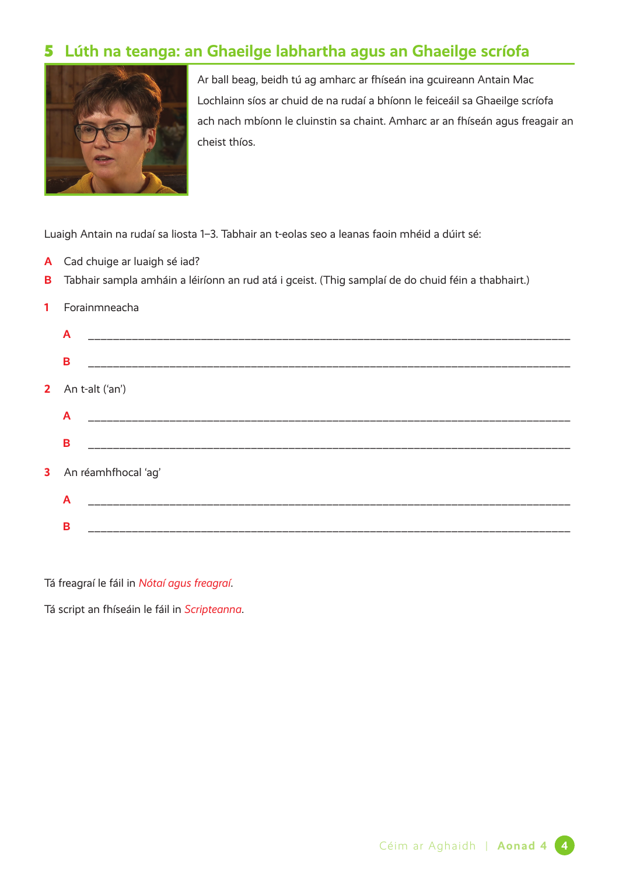# 5 **Lúth na teanga: an Ghaeilge labhartha agus an Ghaeilge scríofa**



Ar ball beag, beidh tú ag amharc ar fhíseán ina gcuireann Antain Mac Lochlainn síos ar chuid de na rudaí a bhíonn le feiceáil sa Ghaeilge scríofa ach nach mbíonn le cluinstin sa chaint. Amharc ar an fhíseán agus freagair an cheist thíos.

Luaigh Antain na rudaí sa liosta 1–3. Tabhair an t-eolas seo a leanas faoin mhéid a dúirt sé:

- **A** Cad chuige ar luaigh sé iad?
- **B** Tabhair sampla amháin a léiríonn an rud atá i gceist. (Thig samplaí de do chuid féin a thabhairt.)
- **1** Forainmneacha

|   | $\mathsf{A}$             |
|---|--------------------------|
|   | B                        |
|   | 2 An t-alt $(\text{an})$ |
|   | $\mathsf{A}$             |
|   | B                        |
| 3 | An réamhfhocal 'ag'      |
|   | $\overline{A}$           |
|   | B                        |
|   |                          |

Tá freagraí le fáil in *Nótaí agus freagraí*.

Tá script an fhíseáin le fáil in *Scripteanna*.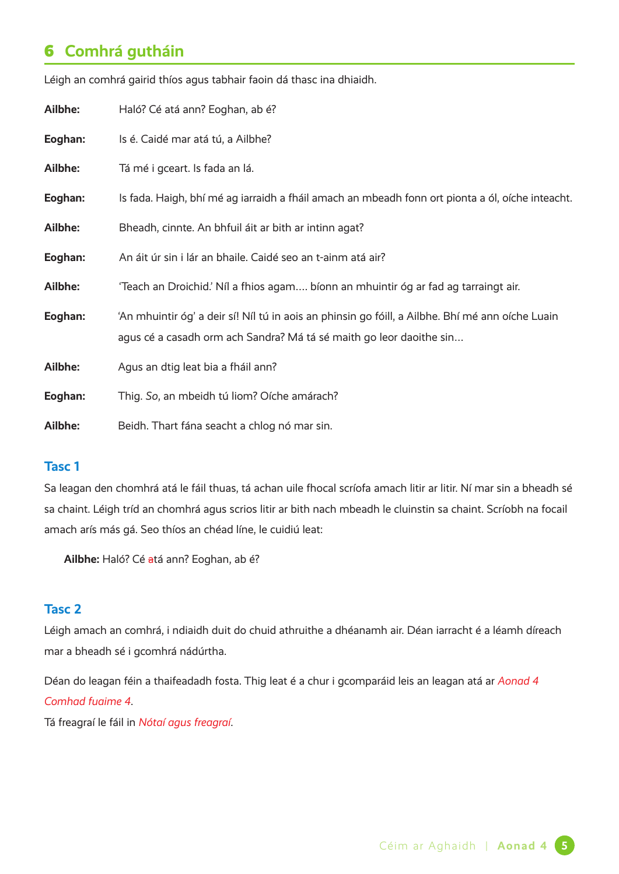# 6 **Comhrá gutháin**

| Ailbhe: | Haló? Cé atá ann? Eoghan, ab é?                                                                                                                                         |
|---------|-------------------------------------------------------------------------------------------------------------------------------------------------------------------------|
| Eoghan: | Is é. Caidé mar atá tú, a Ailbhe?                                                                                                                                       |
| Ailbhe: | Tá mé i gceart. Is fada an lá.                                                                                                                                          |
| Eoghan: | Is fada. Haigh, bhí mé ag iarraidh a fháil amach an mbeadh fonn ort pionta a ól, oíche inteacht.                                                                        |
| Ailbhe: | Bheadh, cinnte. An bhfuil áit ar bith ar intinn agat?                                                                                                                   |
| Eoghan: | An áit úr sin i lár an bhaile. Caidé seo an t-ainm atá air?                                                                                                             |
| Ailbhe: | 'Teach an Droichid.' Níl a fhios agam bíonn an mhuintir óg ar fad ag tarraingt air.                                                                                     |
| Eoghan: | 'An mhuintir óg' a deir sí! Níl tú in aois an phinsin go fóill, a Ailbhe. Bhí mé ann oíche Luain<br>agus cé a casadh orm ach Sandra? Má tá sé maith go leor daoithe sin |
| Ailbhe: | Agus an dtig leat bia a fháil ann?                                                                                                                                      |
| Eoghan: | Thig. So, an mbeidh tú liom? Oíche amárach?                                                                                                                             |
| Ailbhe: | Beidh. Thart fána seacht a chlog nó mar sin.                                                                                                                            |

Léigh an comhrá gairid thíos agus tabhair faoin dá thasc ina dhiaidh.

#### **Tasc 1**

Sa leagan den chomhrá atá le fáil thuas, tá achan uile fhocal scríofa amach litir ar litir. Ní mar sin a bheadh sé sa chaint. Léigh tríd an chomhrá agus scrios litir ar bith nach mbeadh le cluinstin sa chaint. Scríobh na focail amach arís más gá. Seo thíos an chéad líne, le cuidiú leat:

**Ailbhe:** Haló? Cé atá ann? Eoghan, ab é?

#### **Tasc 2**

Léigh amach an comhrá, i ndiaidh duit do chuid athruithe a dhéanamh air. Déan iarracht é a léamh díreach mar a bheadh sé i gcomhrá nádúrtha.

Déan do leagan féin a thaifeadadh fosta. Thig leat é a chur i gcomparáid leis an leagan atá ar *Aonad 4 Comhad fuaime 4*.

Tá freagraí le fáil in *Nótaí agus freagraí*.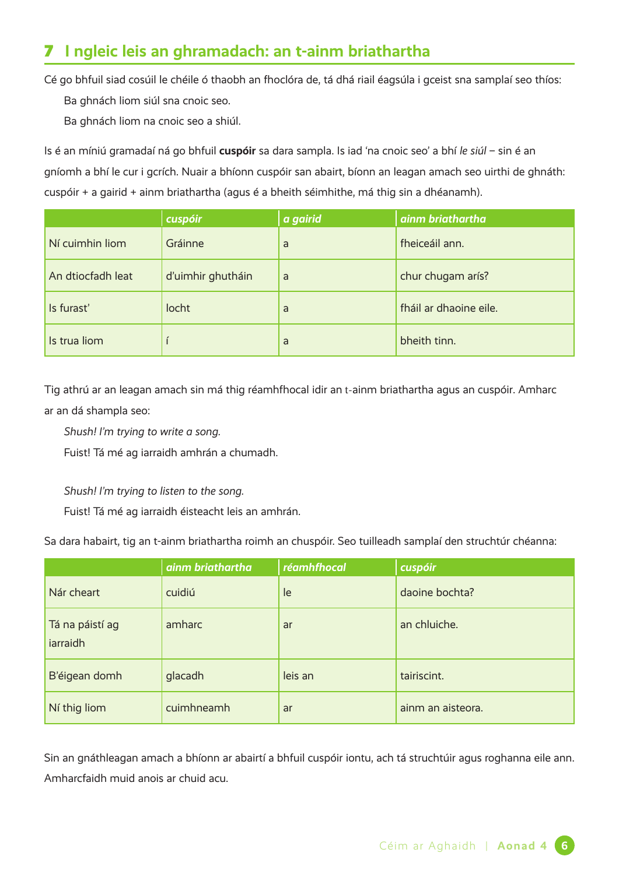# 7 **I ngleic leis an ghramadach: an t-ainm briathartha**

Cé go bhfuil siad cosúil le chéile ó thaobh an fhoclóra de, tá dhá riail éagsúla i gceist sna samplaí seo thíos:

Ba ghnách liom siúl sna cnoic seo.

Ba ghnách liom na cnoic seo a shiúl.

Is é an míniú gramadaí ná go bhfuil **cuspóir** sa dara sampla. Is iad 'na cnoic seo' a bhí *le siúl* – sin é an gníomh a bhí le cur i gcrích. Nuair a bhíonn cuspóir san abairt, bíonn an leagan amach seo uirthi de ghnáth: cuspóir + a gairid + ainm briathartha (agus é a bheith séimhithe, má thig sin a dhéanamh).

|                   | cuspóir           | a gairid | ainm briathartha       |
|-------------------|-------------------|----------|------------------------|
| Ní cuimhin liom   | Gráinne           | a        | fheiceáil ann.         |
| An dtiocfadh leat | d'uimhir ghutháin | a        | chur chugam arís?      |
| Is furast'        | locht             | a        | fháil ar dhaoine eile. |
| Is trua liom      |                   | a        | bheith tinn.           |

Tig athrú ar an leagan amach sin má thig réamhfhocal idir an t-ainm briathartha agus an cuspóir. Amharc ar an dá shampla seo:

*Shush! I'm trying to write a song.*

Fuist! Tá mé ag iarraidh amhrán a chumadh.

*Shush! I'm trying to listen to the song.*

Fuist! Tá mé ag iarraidh éisteacht leis an amhrán.

Sa dara habairt, tig an t-ainm briathartha roimh an chuspóir. Seo tuilleadh samplaí den struchtúr chéanna:

|                             | ainm briathartha | réamhfhocal | cuspóir           |
|-----------------------------|------------------|-------------|-------------------|
| Nár cheart                  | cuidiú           | le          | daoine bochta?    |
| Tá na páistí ag<br>iarraidh | amharc           | ar          | an chluiche.      |
| B'éigean domh               | glacadh          | leis an     | tairiscint.       |
| Ní thig liom                | cuimhneamh       | ar          | ainm an aisteora. |

Sin an gnáthleagan amach a bhíonn ar abairtí a bhfuil cuspóir iontu, ach tá struchtúir agus roghanna eile ann. Amharcfaidh muid anois ar chuid acu.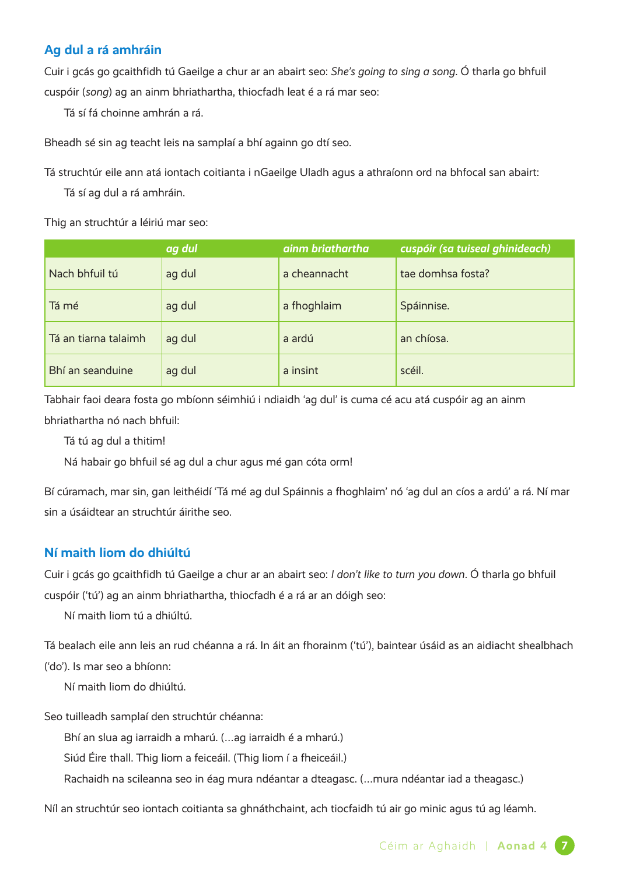#### **Ag dul a rá amhráin**

Cuir i gcás go gcaithfidh tú Gaeilge a chur ar an abairt seo: *She's going to sing a song*. Ó tharla go bhfuil cuspóir (*song*) ag an ainm bhriathartha, thiocfadh leat é a rá mar seo:

Tá sí fá choinne amhrán a rá.

Bheadh sé sin ag teacht leis na samplaí a bhí againn go dtí seo.

Tá struchtúr eile ann atá iontach coitianta i nGaeilge Uladh agus a athraíonn ord na bhfocal san abairt:

Tá sí ag dul a rá amhráin.

Thig an struchtúr a léiriú mar seo:

|                      | ag dul | ainm briathartha | cuspóir (sa tuiseal ghinideach) |
|----------------------|--------|------------------|---------------------------------|
| Nach bhfuil tú       | ag dul | a cheannacht     | tae domhsa fosta?               |
| Tá mé                | ag dul | a fhoghlaim      | Spáinnise.                      |
| Tá an tiarna talaimh | ag dul | a ardú           | an chíosa.                      |
| Bhí an seanduine     | ag dul | a insint         | scéil.                          |

Tabhair faoi deara fosta go mbíonn séimhiú i ndiaidh 'ag dul' is cuma cé acu atá cuspóir ag an ainm bhriathartha nó nach bhfuil:

Tá tú ag dul a thitim!

Ná habair go bhfuil sé ag dul a chur agus mé gan cóta orm!

Bí cúramach, mar sin, gan leithéidí 'Tá mé ag dul Spáinnis a fhoghlaim' nó 'ag dul an cíos a ardú' a rá. Ní mar sin a úsáidtear an struchtúr áirithe seo.

#### **Ní maith liom do dhiúltú**

Cuir i gcás go gcaithfidh tú Gaeilge a chur ar an abairt seo: *I don't like to turn you down*. Ó tharla go bhfuil cuspóir ('tú') ag an ainm bhriathartha, thiocfadh é a rá ar an dóigh seo:

Ní maith liom tú a dhiúltú.

Tá bealach eile ann leis an rud chéanna a rá. In áit an fhorainm ('tú'), baintear úsáid as an aidiacht shealbhach ('do'). Is mar seo a bhíonn:

Ní maith liom do dhiúltú.

Seo tuilleadh samplaí den struchtúr chéanna:

Bhí an slua ag iarraidh a mharú. (…ag iarraidh é a mharú.)

Siúd Éire thall. Thig liom a feiceáil. (Thig liom í a fheiceáil.)

Rachaidh na scileanna seo in éag mura ndéantar a dteagasc. (…mura ndéantar iad a theagasc.)

Níl an struchtúr seo iontach coitianta sa ghnáthchaint, ach tiocfaidh tú air go minic agus tú ag léamh.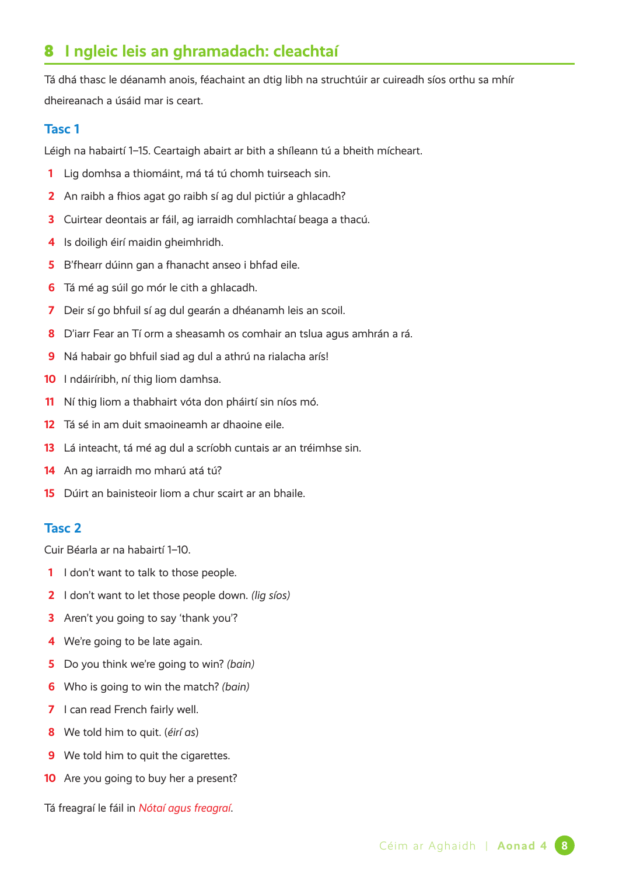# **I ngleic leis an ghramadach: cleachtaí**

Tá dhá thasc le déanamh anois, féachaint an dtig libh na struchtúir ar cuireadh síos orthu sa mhír dheireanach a úsáid mar is ceart.

#### **Tasc 1**

Léigh na habairtí 1–15. Ceartaigh abairt ar bith a shíleann tú a bheith mícheart.

- Lig domhsa a thiomáint, má tá tú chomh tuirseach sin.
- An raibh a fhios agat go raibh sí ag dul pictiúr a ghlacadh?
- Cuirtear deontais ar fáil, ag iarraidh comhlachtaí beaga a thacú.
- Is doiligh éirí maidin gheimhridh.
- B'fhearr dúinn gan a fhanacht anseo i bhfad eile.
- Tá mé ag súil go mór le cith a ghlacadh.
- Deir sí go bhfuil sí ag dul gearán a dhéanamh leis an scoil.
- D'iarr Fear an Tí orm a sheasamh os comhair an tslua agus amhrán a rá.
- Ná habair go bhfuil siad ag dul a athrú na rialacha arís!
- I ndáiríribh, ní thig liom damhsa.
- Ní thig liom a thabhairt vóta don pháirtí sin níos mó.
- Tá sé in am duit smaoineamh ar dhaoine eile.
- Lá inteacht, tá mé ag dul a scríobh cuntais ar an tréimhse sin.
- An ag iarraidh mo mharú atá tú?
- Dúirt an bainisteoir liom a chur scairt ar an bhaile.

#### **Tasc 2**

Cuir Béarla ar na habairtí 1–10.

- I don't want to talk to those people.
- I don't want to let those people down. *(lig síos)*
- Aren't you going to say 'thank you'?
- We're going to be late again.
- Do you think we're going to win? *(bain)*
- Who is going to win the match? *(bain)*
- I can read French fairly well.
- We told him to quit. (*éirí as*)
- We told him to quit the cigarettes.
- Are you going to buy her a present?

Tá freagraí le fáil in *Nótaí agus freagraí*.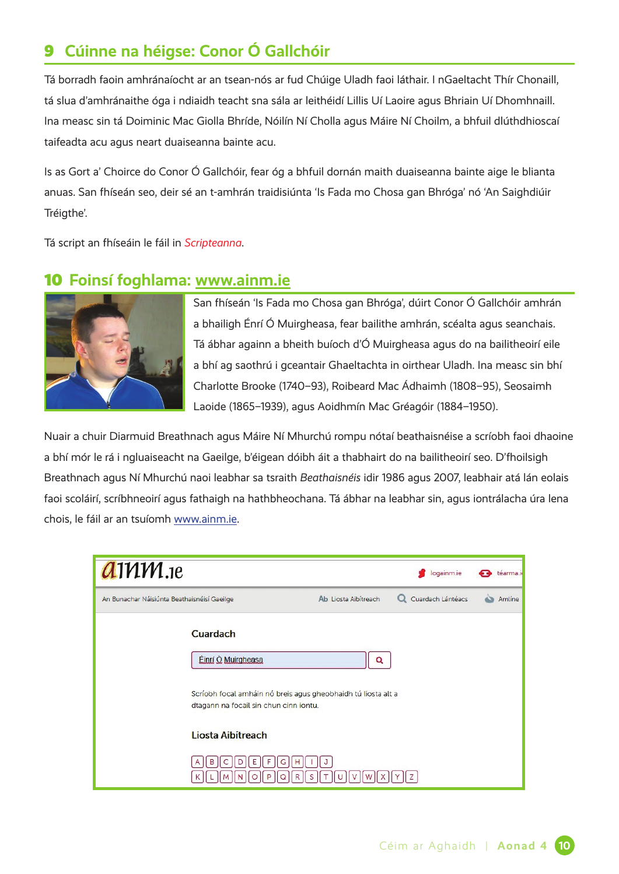# 9 **Cúinne na héigse: Conor Ó Gallchóir**

Tá borradh faoin amhránaíocht ar an tsean-nós ar fud Chúige Uladh faoi láthair. I nGaeltacht Thír Chonaill, tá slua d'amhránaithe óga i ndiaidh teacht sna sála ar leithéidí Lillis Uí Laoire agus Bhriain Uí Dhomhnaill. Ina measc sin tá Doiminic Mac Giolla Bhríde, Nóilín Ní Cholla agus Máire Ní Choilm, a bhfuil dlúthdhioscaí taifeadta acu agus neart duaiseanna bainte acu.

Is as Gort a' Choirce do Conor Ó Gallchóir, fear óg a bhfuil dornán maith duaiseanna bainte aige le blianta anuas. San fhíseán seo, deir sé an t-amhrán traidisiúnta 'Is Fada mo Chosa gan Bhróga' nó 'An Saighdiúir Tréigthe'.

Tá script an fhíseáin le fáil in *Scripteanna*.

## 10 **Foinsí foghlama: [www.ainm.ie](http://www.ainm.ie)**



San fhíseán 'Is Fada mo Chosa gan Bhróga', dúirt Conor Ó Gallchóir amhrán a bhailigh Énrí Ó Muirgheasa, fear bailithe amhrán, scéalta agus seanchais. Tá ábhar againn a bheith buíoch d'Ó Muirgheasa agus do na bailitheoirí eile a bhí ag saothrú i gceantair Ghaeltachta in oirthear Uladh. Ina measc sin bhí Charlotte Brooke (1740–93), [Roibeard Mac Ádhaimh](https://www.ainm.ie/Bio.aspx?ID=0281) (1808–95), Seosaimh Laoide (1865–1939), agus Aoidhmín Mac Gréagóir (1884–1950).

Nuair a chuir Diarmuid Breathnach agus Máire Ní Mhurchú rompu nótaí beathaisnéise a scríobh faoi dhaoine a bhí mór le rá i ngluaiseacht na Gaeilge, b'éigean dóibh áit a thabhairt do na bailitheoirí seo. D'fhoilsigh Breathnach agus Ní Mhurchú naoi leabhar sa tsraith *Beathaisnéis* idir 1986 agus 2007, leabhair atá lán eolais faoi scoláirí, scríbhneoirí agus fathaigh na hathbheochana. Tá ábhar na leabhar sin, agus iontrálacha úra lena chois, le fáil ar an tsuíomh [www.ainm.ie.](http://www.ainm.ie)

| $d$ 111 $M$ .1e                             |                                        |                                                               | logainm.ie          | téarma.io |
|---------------------------------------------|----------------------------------------|---------------------------------------------------------------|---------------------|-----------|
| An Bunachar Náisiúnta Beathaisnéisí Gaeilge |                                        | Ab Liosta Aibítreach                                          | Q Cuardach Lántéacs | Amlíne    |
|                                             | Cuardach<br>Einrí Ó Muirgheasa         | Q                                                             |                     |           |
|                                             | dtagann na focail sin chun cinn iontu. | Scríobh focal amháin nó breis agus gheobhaidh tú liosta alt a |                     |           |
|                                             | Liosta Aibítreach                      |                                                               |                     |           |
|                                             | F<br>G<br>В<br>Ε                       | н<br>R                                                        |                     |           |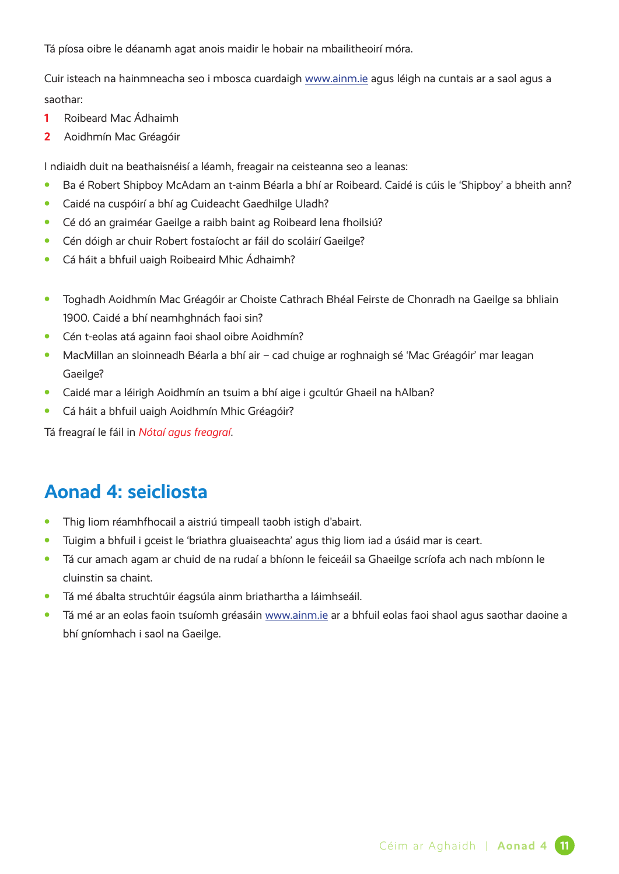Tá píosa oibre le déanamh agat anois maidir le hobair na mbailitheoirí móra.

Cuir isteach na hainmneacha seo i mbosca cuardaigh [www.ainm.ie](http://www.ainm.ie) agus léigh na cuntais ar a saol agus a saothar:

- **1** [Roibeard Mac Ádhaimh](https://www.ainm.ie/Bio.aspx?ID=0281)
- **2** Aoidhmín Mac Gréagóir

I ndiaidh duit na beathaisnéisí a léamh, freagair na ceisteanna seo a leanas:

- **•** Ba é Robert Shipboy McAdam an t-ainm Béarla a bhí ar Roibeard. Caidé is cúis le 'Shipboy' a bheith ann?
- **•** Caidé na cuspóirí a bhí ag Cuideacht Gaedhilge Uladh?
- **•** Cé dó an graiméar Gaeilge a raibh baint ag Roibeard lena fhoilsiú?
- **•** Cén dóigh ar chuir Robert fostaíocht ar fáil do scoláirí Gaeilge?
- **•** Cá háit a bhfuil uaigh Roibeaird Mhic Ádhaimh?
- **•** Toghadh Aoidhmín Mac Gréagóir ar Choiste Cathrach Bhéal Feirste de Chonradh na Gaeilge sa bhliain 1900. Caidé a bhí neamhghnách faoi sin?
- **•** Cén t-eolas atá againn faoi shaol oibre Aoidhmín?
- **•** MacMillan an sloinneadh Béarla a bhí air cad chuige ar roghnaigh sé 'Mac Gréagóir' mar leagan Gaeilge?
- **•** Caidé mar a léirigh Aoidhmín an tsuim a bhí aige i gcultúr Ghaeil na hAlban?
- **•** Cá háit a bhfuil uaigh Aoidhmín Mhic Gréagóir?

Tá freagraí le fáil in *Nótaí agus freagraí*.

# **Aonad 4: seicliosta**

- **•** Thig liom réamhfhocail a aistriú timpeall taobh istigh d'abairt.
- **•** Tuigim a bhfuil i gceist le 'briathra gluaiseachta' agus thig liom iad a úsáid mar is ceart.
- **•** Tá cur amach agam ar chuid de na rudaí a bhíonn le feiceáil sa Ghaeilge scríofa ach nach mbíonn le cluinstin sa chaint.
- **•** Tá mé ábalta struchtúir éagsúla ainm briathartha a láimhseáil.
- **•** Tá mé ar an eolas faoin tsuíomh gréasáin [www.ainm.ie](http://www.ainm.ie) ar a bhfuil eolas faoi shaol agus saothar daoine a bhí gníomhach i saol na Gaeilge.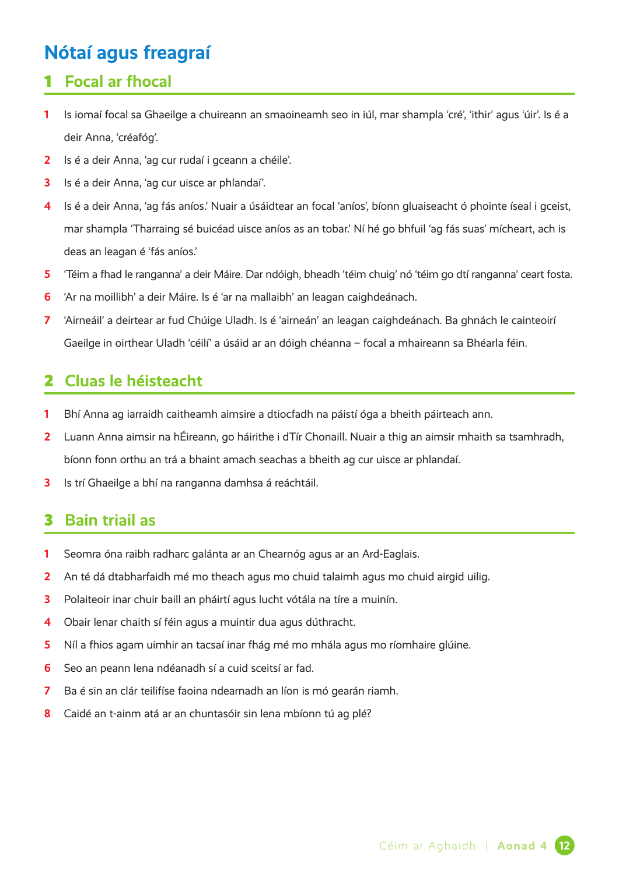# **Nótaí agus freagraí**

## **Focal ar fhocal**

- Is iomaí focal sa Ghaeilge a chuireann an smaoineamh seo in iúl, mar shampla 'cré', 'ithir' agus 'úir'. Is é a deir Anna, 'créafóg'.
- Is é a deir Anna, 'ag cur rudaí i gceann a chéile'.
- Is é a deir Anna, 'ag cur uisce ar phlandaí'.
- Is é a deir Anna, 'ag fás aníos.' Nuair a úsáidtear an focal 'aníos', bíonn gluaiseacht ó phointe íseal i gceist, mar shampla 'Tharraing sé buicéad uisce aníos as an tobar.' Ní hé go bhfuil 'ag fás suas' mícheart, ach is deas an leagan é 'fás aníos.'
- 'Téim a fhad le ranganna' a deir Máire. Dar ndóigh, bheadh 'téim chuig' nó 'téim go dtí ranganna' ceart fosta.
- 'Ar na moillibh' a deir Máire. Is é 'ar na mallaibh' an leagan caighdeánach.
- 'Airneáil' a deirtear ar fud Chúige Uladh. Is é 'airneán' an leagan caighdeánach. Ba ghnách le cainteoirí Gaeilge in oirthear Uladh 'céilí' a úsáid ar an dóigh chéanna – focal a mhaireann sa Bhéarla féin.

## **Cluas le héisteacht**

- Bhí Anna ag iarraidh caitheamh aimsire a dtiocfadh na páistí óga a bheith páirteach ann.
- Luann Anna aimsir na hÉireann, go háirithe i dTír Chonaill. Nuair a thig an aimsir mhaith sa tsamhradh, bíonn fonn orthu an trá a bhaint amach seachas a bheith ag cur uisce ar phlandaí.
- Is trí Ghaeilge a bhí na ranganna damhsa á reáchtáil.

## **Bain triail as**

- Seomra óna raibh radharc galánta ar an Chearnóg agus ar an Ard-Eaglais.
- An té dá dtabharfaidh mé mo theach agus mo chuid talaimh agus mo chuid airgid uilig.
- Polaiteoir inar chuir baill an pháirtí agus lucht vótála na tíre a muinín.
- Obair lenar chaith sí féin agus a muintir dua agus dúthracht.
- Níl a fhios agam uimhir an tacsaí inar fhág mé mo mhála agus mo ríomhaire glúine.
- Seo an peann lena ndéanadh sí a cuid sceitsí ar fad.
- Ba é sin an clár teilifíse faoina ndearnadh an líon is mó gearán riamh.
- Caidé an t-ainm atá ar an chuntasóir sin lena mbíonn tú ag plé?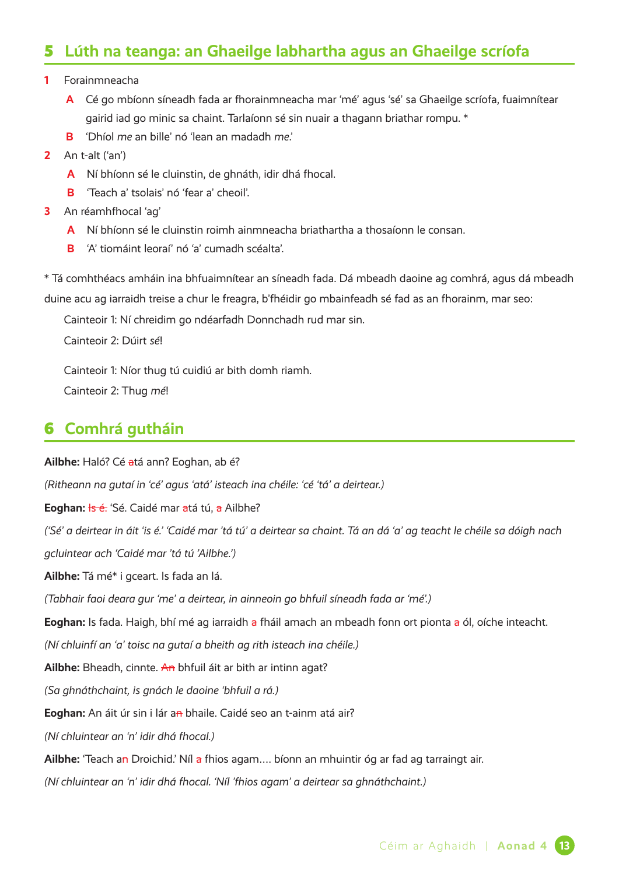# 5 **Lúth na teanga: an Ghaeilge labhartha agus an Ghaeilge scríofa**

#### **1** Forainmneacha

- **A** Cé go mbíonn síneadh fada ar fhorainmneacha mar 'mé' agus 'sé' sa Ghaeilge scríofa, fuaimnítear gairid iad go minic sa chaint. Tarlaíonn sé sin nuair a thagann briathar rompu. \*
- **B** 'Dhíol *me* an bille' nó 'lean an madadh *me*.'
- **2** An t-alt ('an')
	- **A** Ní bhíonn sé le cluinstin, de ghnáth, idir dhá fhocal.
	- **B** 'Teach a' tsolais' nó 'fear a' cheoil'.
- **3** An réamhfhocal 'ag'
	- **A** Ní bhíonn sé le cluinstin roimh ainmneacha briathartha a thosaíonn le consan.
	- **B** 'A' tiomáint leoraí' nó 'a' cumadh scéalta'.

\* Tá comhthéacs amháin ina bhfuaimnítear an síneadh fada. Dá mbeadh daoine ag comhrá, agus dá mbeadh duine acu ag iarraidh treise a chur le freagra, b'fhéidir go mbainfeadh sé fad as an fhorainm, mar seo:

Cainteoir 1: Ní chreidim go ndéarfadh Donnchadh rud mar sin.

Cainteoir 2: Dúirt *sé*!

Cainteoir 1: Níor thug tú cuidiú ar bith domh riamh.

Cainteoir 2: Thug *mé*!

## 6 **Comhrá gutháin**

**Ailbhe:** Haló? Cé atá ann? Eoghan, ab é?

*(Ritheann na gutaí in 'cé' agus 'atá' isteach ina chéile: 'cé 'tá' a deirtear.)*

Eoghan: <del>Is é.</del> 'Sé. Caidé mar atá tú, a Ailbhe?

*('Sé' a deirtear in áit 'is é.' 'Caidé mar 'tá tú' a deirtear sa chaint. Tá an dá 'a' ag teacht le chéile sa dóigh nach* 

*gcluintear ach 'Caidé mar 'tá tú 'Ailbhe.')*

**Ailbhe:** Tá mé\* i gceart. Is fada an lá.

*(Tabhair faoi deara gur 'me' a deirtear, in ainneoin go bhfuil síneadh fada ar 'mé'.)*

Eoghan: Is fada. Haigh, bhí mé ag iarraidh a fháil amach an mbeadh fonn ort pionta a ól, oíche inteacht.

*(Ní chluinfí an 'a' toisc na gutaí a bheith ag rith isteach ina chéile.)*

**Ailbhe:** Bheadh, cinnte. An bhfuil áit ar bith ar intinn agat?

*(Sa ghnáthchaint, is gnách le daoine 'bhfuil a rá.)*

**Eoghan:** An áit úr sin i lár an bhaile. Caidé seo an t-ainm atá air?

*(Ní chluintear an 'n' idir dhá fhocal.)*

**Ailbhe:** 'Teach an Droichid.' Níl a fhios agam…. bíonn an mhuintir óg ar fad ag tarraingt air.

*(Ní chluintear an 'n' idir dhá fhocal. 'Níl 'fhios agam' a deirtear sa ghnáthchaint.)*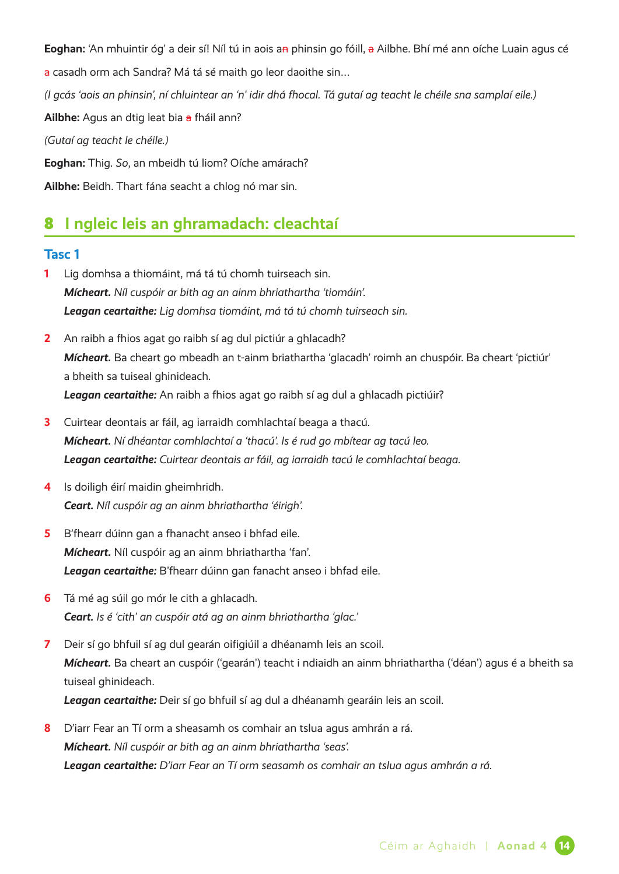**Eoghan:** 'An mhuintir óg' a deir sí! Níl tú in aois an phinsin go fóill, a Ailbhe. Bhí mé ann oíche Luain agus cé a casadh orm ach Sandra? Má tá sé maith go leor daoithe sin... *(I gcás 'aois an phinsin', ní chluintear an 'n' idir dhá fhocal. Tá gutaí ag teacht le chéile sna samplaí eile.)* **Ailbhe:** Agus an dtig leat bia a fháil ann? *(Gutaí ag teacht le chéile.)* **Eoghan:** Thig. *So*, an mbeidh tú liom? Oíche amárach? **Ailbhe:** Beidh. Thart fána seacht a chlog nó mar sin.

# 8 **I ngleic leis an ghramadach: cleachtaí**

#### **Tasc 1**

- **1** Lig domhsa a thiomáint, má tá tú chomh tuirseach sin. *Mícheart. Níl cuspóir ar bith ag an ainm bhriathartha 'tiomáin'. Leagan ceartaithe: Lig domhsa tiomáint, má tá tú chomh tuirseach sin.*
- **2** An raibh a fhios agat go raibh sí ag dul pictiúr a ghlacadh? *Mícheart.* Ba cheart go mbeadh an t-ainm briathartha 'glacadh' roimh an chuspóir. Ba cheart 'pictiúr' a bheith sa tuiseal ghinideach. *Leagan ceartaithe:* An raibh a fhios agat go raibh sí ag dul a ghlacadh pictiúir?
- **3** Cuirtear deontais ar fáil, ag iarraidh comhlachtaí beaga a thacú. *Mícheart. Ní dhéantar comhlachtaí a 'thacú'. Is é rud go mbítear ag tacú leo. Leagan ceartaithe: Cuirtear deontais ar fáil, ag iarraidh tacú le comhlachtaí beaga.*
- **4** Is doiligh éirí maidin gheimhridh. *Ceart. Níl cuspóir ag an ainm bhriathartha 'éirigh'.*
- **5** B'fhearr dúinn gan a fhanacht anseo i bhfad eile. *Mícheart.* Níl cuspóir ag an ainm bhriathartha 'fan'. *Leagan ceartaithe:* B'fhearr dúinn gan fanacht anseo i bhfad eile.
- **6** Tá mé ag súil go mór le cith a ghlacadh. *Ceart. Is é 'cith' an cuspóir atá ag an ainm bhriathartha 'glac.'*
- **7** Deir sí go bhfuil sí ag dul gearán oifigiúil a dhéanamh leis an scoil. *Mícheart.* Ba cheart an cuspóir ('gearán') teacht i ndiaidh an ainm bhriathartha ('déan') agus é a bheith sa tuiseal ghinideach.

*Leagan ceartaithe:* Deir sí go bhfuil sí ag dul a dhéanamh gearáin leis an scoil.

**8** D'iarr Fear an Tí orm a sheasamh os comhair an tslua agus amhrán a rá. *Mícheart. Níl cuspóir ar bith ag an ainm bhriathartha 'seas'. Leagan ceartaithe: D'iarr Fear an Tí orm seasamh os comhair an tslua agus amhrán a rá.*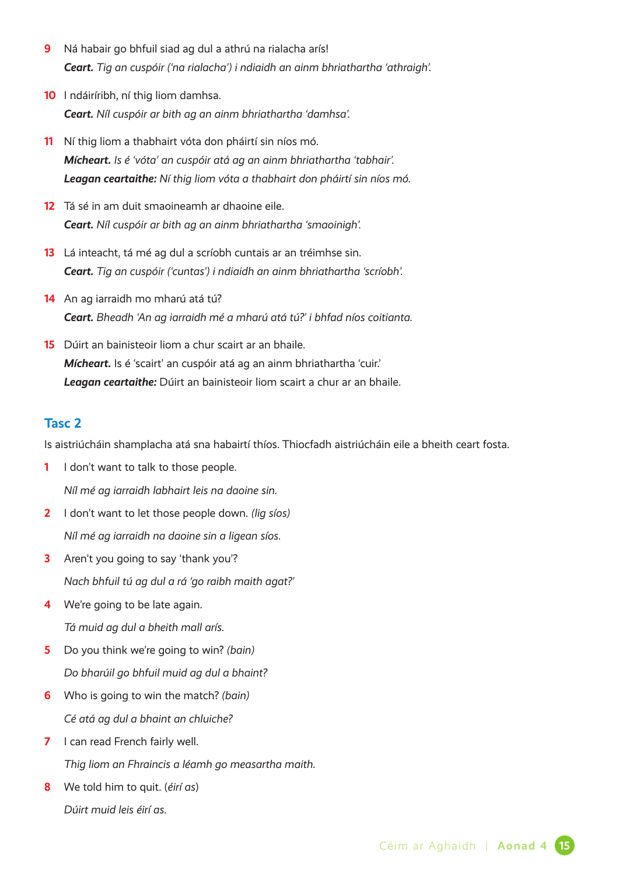- **9** Ná habair go bhfuil siad ag dul a athrú na rialacha arís! *Ceart. Tig an cuspóir ('na rialacha') i ndiaidh an ainm bhriathartha 'athraigh'.*
- **10** I ndáiríribh, ní thig liom damhsa. *Ceart. Níl cuspóir ar bith ag an ainm bhriathartha 'damhsa'.*
- **11** Ní thig liom a thabhairt vóta don pháirtí sin níos mó. *Mícheart. Is é 'vóta' an cuspóir atá ag an ainm bhriathartha 'tabhair'. Leagan ceartaithe: Ní thig liom vóta a thabhairt don pháirtí sin níos mó.*
- **12** Tá sé in am duit smaoineamh ar dhaoine eile. *Ceart. Níl cuspóir ar bith ag an ainm bhriathartha 'smaoinigh'.*
- **13** Lá inteacht, tá mé ag dul a scríobh cuntais ar an tréimhse sin. *Ceart. Tig an cuspóir ('cuntas') i ndiaidh an ainm bhriathartha 'scríobh'.*
- **14** An ag iarraidh mo mharú atá tú? *Ceart. Bheadh 'An ag iarraidh mé a mharú atá tú?' i bhfad níos coitianta.*
- **15** Dúirt an bainisteoir liom a chur scairt ar an bhaile. *Mícheart.* Is é 'scairt' an cuspóir atá ag an ainm bhriathartha 'cuir.' *Leagan ceartaithe:* Dúirt an bainisteoir liom scairt a chur ar an bhaile.

#### **Tasc 2**

Is aistriúcháin shamplacha atá sna habairtí thíos. Thiocfadh aistriúcháin eile a bheith ceart fosta.

- **1** I don't want to talk to those people. *Níl mé ag iarraidh labhairt leis na daoine sin.*
- **2** I don't want to let those people down. *(lig síos) Níl mé ag iarraidh na daoine sin a ligean síos.*
- **3** Aren't you going to say 'thank you'? *Nach bhfuil tú ag dul a rá 'go raibh maith agat?'*
- **4** We're going to be late again. *Tá muid ag dul a bheith mall arís.*
- **5** Do you think we're going to win? *(bain) Do bharúil go bhfuil muid ag dul a bhaint?*
- **6** Who is going to win the match? *(bain) Cé atá ag dul a bhaint an chluiche?*
- **7** I can read French fairly well. *Thig liom an Fhraincis a léamh go measartha maith.*
- **8** We told him to quit. (*éirí as*)

*Dúirt muid leis éirí as.*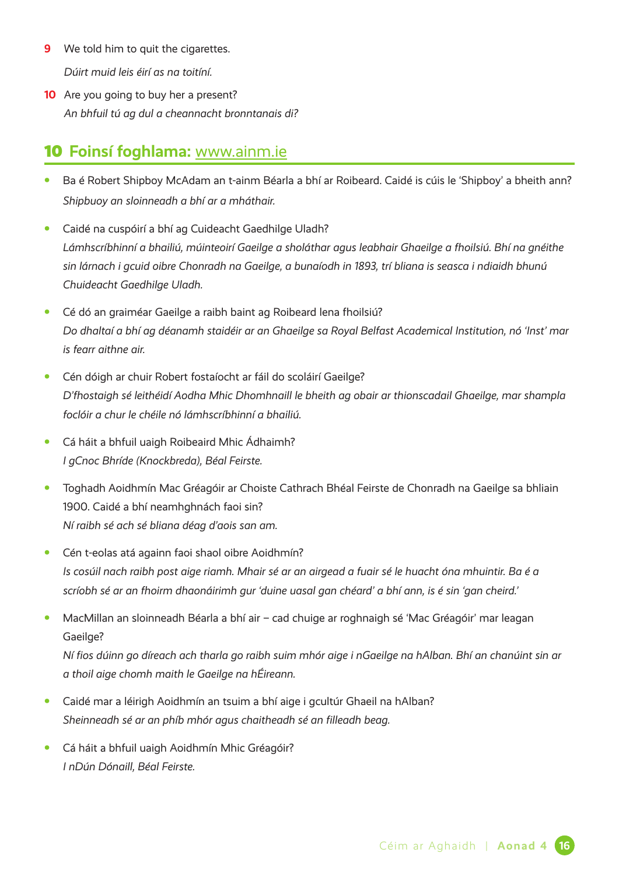- **9** We told him to quit the cigarettes. *Dúirt muid leis éirí as na toitíní.*
- **10** Are you going to buy her a present? *An bhfuil tú ag dul a cheannacht bronntanais di?*

# 10 **Foinsí foghlama:** [www.ainm.ie](http://www.ainm.ie)

- **•** Ba é Robert Shipboy McAdam an t-ainm Béarla a bhí ar Roibeard. Caidé is cúis le 'Shipboy' a bheith ann? *Shipbuoy an sloinneadh a bhí ar a mháthair.*
- **•** Caidé na cuspóirí a bhí ag Cuideacht Gaedhilge Uladh? *Lámhscríbhinní a bhailiú, múinteoirí Gaeilge a sholáthar agus leabhair Ghaeilge a fhoilsiú. Bhí na gnéithe sin lárnach i gcuid oibre Chonradh na Gaeilge, a bunaíodh in 1893, trí bliana is seasca i ndiaidh bhunú Chuideacht Gaedhilge Uladh.*
- **•** Cé dó an graiméar Gaeilge a raibh baint ag Roibeard lena fhoilsiú? *Do dhaltaí a bhí ag déanamh staidéir ar an Ghaeilge sa Royal Belfast Academical Institution, nó 'Inst' mar is fearr aithne air.*
- **•** Cén dóigh ar chuir Robert fostaíocht ar fáil do scoláirí Gaeilge? *D'fhostaigh sé leithéidí Aodha Mhic Dhomhnaill le bheith ag obair ar thionscadail Ghaeilge, mar shampla foclóir a chur le chéile nó lámhscríbhinní a bhailiú.*
- **•** Cá háit a bhfuil uaigh Roibeaird Mhic Ádhaimh? *I gCnoc Bhríde (Knockbreda), Béal Feirste.*
- **•** Toghadh Aoidhmín Mac Gréagóir ar Choiste Cathrach Bhéal Feirste de Chonradh na Gaeilge sa bhliain 1900. Caidé a bhí neamhghnách faoi sin? *Ní raibh sé ach sé bliana déag d'aois san am.*
- **•** Cén t-eolas atá againn faoi shaol oibre Aoidhmín? *Is cosúil nach raibh post aige riamh. Mhair sé ar an airgead a fuair sé le huacht óna mhuintir. Ba é a scríobh sé ar an fhoirm dhaonáirimh gur 'duine uasal gan chéard' a bhí ann, is é sin 'gan cheird.'*
- **•** MacMillan an sloinneadh Béarla a bhí air cad chuige ar roghnaigh sé 'Mac Gréagóir' mar leagan Gaeilge?

*Ní fios dúinn go díreach ach tharla go raibh suim mhór aige i nGaeilge na hAlban. Bhí an chanúint sin ar a thoil aige chomh maith le Gaeilge na hÉireann.*

- **•** Caidé mar a léirigh Aoidhmín an tsuim a bhí aige i gcultúr Ghaeil na hAlban? *Sheinneadh sé ar an phíb mhór agus chaitheadh sé an filleadh beag.*
- **•** Cá háit a bhfuil uaigh Aoidhmín Mhic Gréagóir? *I nDún Dónaill, Béal Feirste.*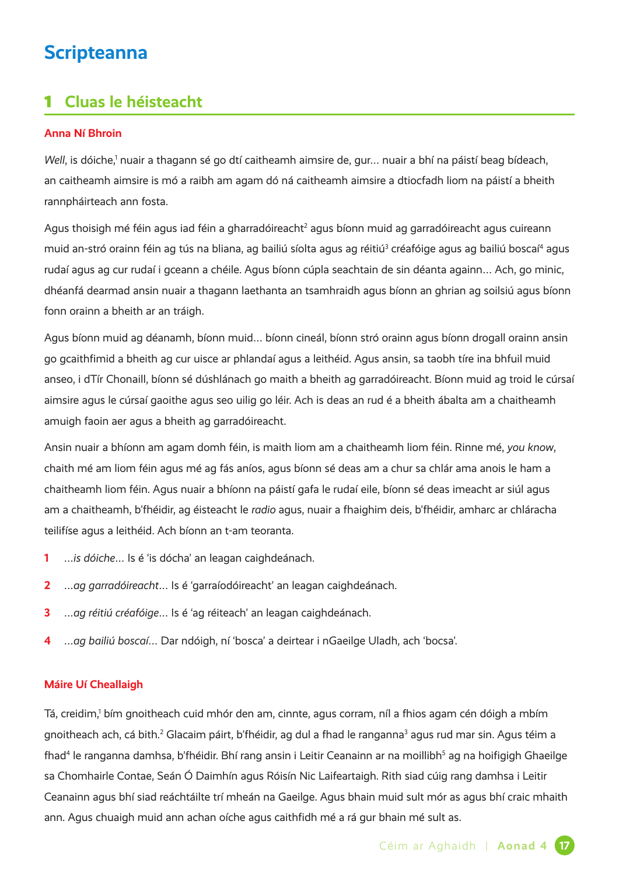# **Scripteanna**

## 1 **Cluas le héisteacht**

#### **Anna Ní Bhroin**

Well, is dóiche,<sup>1</sup> nuair a thagann sé go dtí caitheamh aimsire de, gur... nuair a bhí na páistí beag bídeach, an caitheamh aimsire is mó a raibh am agam dó ná caitheamh aimsire a dtiocfadh liom na páistí a bheith rannpháirteach ann fosta.

Agus thoisigh mé féin agus iad féin a gharradóireacht<sup>2</sup> agus bíonn muid ag garradóireacht agus cuireann muid an-stró orainn féin ag tús na bliana, ag bailiú síolta agus ag réitiú<sup>3</sup> créafóige agus ag bailiú boscaí<sup>4</sup> agus rudaí agus ag cur rudaí i gceann a chéile. Agus bíonn cúpla seachtain de sin déanta againn… Ach, go minic, dhéanfá dearmad ansin nuair a thagann laethanta an tsamhraidh agus bíonn an ghrian ag soilsiú agus bíonn fonn orainn a bheith ar an tráigh.

Agus bíonn muid ag déanamh, bíonn muid… bíonn cineál, bíonn stró orainn agus bíonn drogall orainn ansin go gcaithfimid a bheith ag cur uisce ar phlandaí agus a leithéid. Agus ansin, sa taobh tíre ina bhfuil muid anseo, i dTír Chonaill, bíonn sé dúshlánach go maith a bheith ag garradóireacht. Bíonn muid ag troid le cúrsaí aimsire agus le cúrsaí gaoithe agus seo uilig go léir. Ach is deas an rud é a bheith ábalta am a chaitheamh amuigh faoin aer agus a bheith ag garradóireacht.

Ansin nuair a bhíonn am agam domh féin, is maith liom am a chaitheamh liom féin. Rinne mé, *you know*, chaith mé am liom féin agus mé ag fás aníos, agus bíonn sé deas am a chur sa chlár ama anois le ham a chaitheamh liom féin. Agus nuair a bhíonn na páistí gafa le rudaí eile, bíonn sé deas imeacht ar siúl agus am a chaitheamh, b'fhéidir, ag éisteacht le *radio* agus, nuair a fhaighim deis, b'fhéidir, amharc ar chláracha teilifíse agus a leithéid. Ach bíonn an t-am teoranta.

- **1** …*is dóiche*… Is é 'is dócha' an leagan caighdeánach.
- **2** …*ag garradóireacht*… Is é 'garraíodóireacht' an leagan caighdeánach.
- **3** …*ag réitiú créafóige*… Is é 'ag réiteach' an leagan caighdeánach.
- **4** …*ag bailiú boscaí*… Dar ndóigh, ní 'bosca' a deirtear i nGaeilge Uladh, ach 'bocsa'.

#### **Máire Uí Cheallaigh**

Tá, creidim,<sup>1</sup> bím gnoitheach cuid mhór den am, cinnte, agus corram, níl a fhios agam cén dóigh a mbím gnoitheach ach, cá bith.<sup>2</sup> Glacaim páirt, b'fhéidir, ag dul a fhad le ranganna<sup>3</sup> agus rud mar sin. Agus téim a fhad<sup>4</sup> le ranganna damhsa, b'fhéidir. Bhí rang ansin i Leitir Ceanainn ar na moillibh<sup>s</sup> ag na hoifigigh Ghaeilge sa Chomhairle Contae, Seán Ó Daimhín agus Róisín Nic Laifeartaigh. Rith siad cúig rang damhsa i Leitir Ceanainn agus bhí siad reáchtáilte trí mheán na Gaeilge. Agus bhain muid sult mór as agus bhí craic mhaith ann. Agus chuaigh muid ann achan oíche agus caithfidh mé a rá gur bhain mé sult as.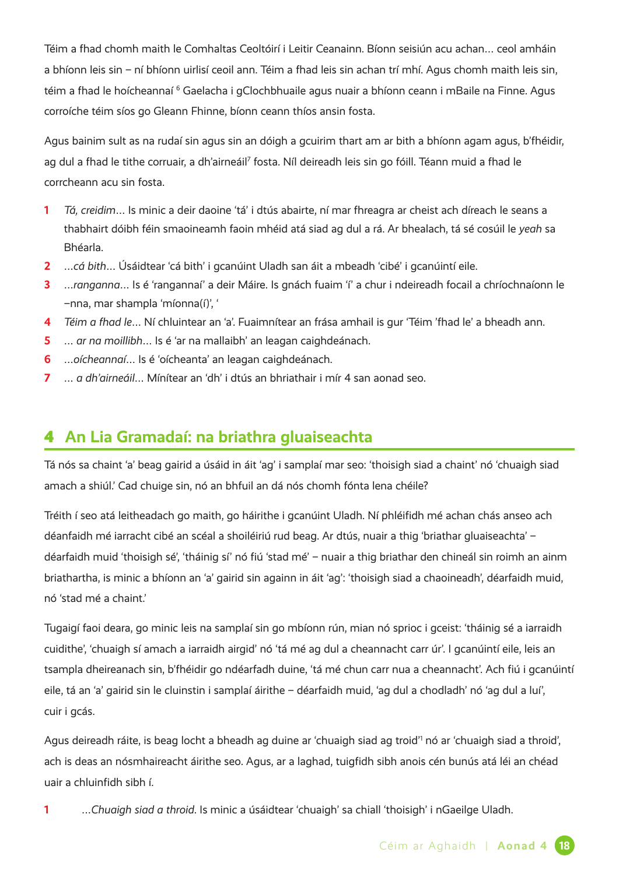Téim a fhad chomh maith le Comhaltas Ceoltóirí i Leitir Ceanainn. Bíonn seisiún acu achan… ceol amháin a bhíonn leis sin – ní bhíonn uirlisí ceoil ann. Téim a fhad leis sin achan trí mhí. Agus chomh maith leis sin, téim a fhad le hoícheannaí <sup>6</sup> Gaelacha i gClochbhuaile agus nuair a bhíonn ceann i mBaile na Finne. Agus corroíche téim síos go Gleann Fhinne, bíonn ceann thíos ansin fosta.

Agus bainim sult as na rudaí sin agus sin an dóigh a gcuirim thart am ar bith a bhíonn agam agus, b'fhéidir, ag dul a fhad le tithe corruair, a dh'airneáil<sup>7</sup> fosta. Níl deireadh leis sin go fóill. Téann muid a fhad le corrcheann acu sin fosta.

- **1** *Tá, creidim*… Is minic a deir daoine 'tá' i dtús abairte, ní mar fhreagra ar cheist ach díreach le seans a thabhairt dóibh féin smaoineamh faoin mhéid atá siad ag dul a rá. Ar bhealach, tá sé cosúil le *yeah* sa Bhéarla.
- **2** …*cá bith*… Úsáidtear 'cá bith' i gcanúint Uladh san áit a mbeadh 'cibé' i gcanúintí eile.
- **3** …*ranganna*… Is é 'rangannaí' a deir Máire. Is gnách fuaim 'í' a chur i ndeireadh focail a chríochnaíonn le –nna, mar shampla 'míonna(í)', '
- **4** *Téim a fhad le*… Ní chluintear an 'a'. Fuaimnítear an frása amhail is gur 'Téim 'fhad le' a bheadh ann.
- **5** … *ar na moillibh*… Is é 'ar na mallaibh' an leagan caighdeánach.
- **6** …*oícheannaí*… Is é 'oícheanta' an leagan caighdeánach.
- **7** … *a dh'airneáil*… Mínítear an 'dh' i dtús an bhriathair i mír 4 san aonad seo.

## 4 **An Lia Gramadaí: na briathra gluaiseachta**

Tá nós sa chaint 'a' beag gairid a úsáid in áit 'ag' i samplaí mar seo: 'thoisigh siad a chaint' nó 'chuaigh siad amach a shiúl.' Cad chuige sin, nó an bhfuil an dá nós chomh fónta lena chéile?

Tréith í seo atá leitheadach go maith, go háirithe i gcanúint Uladh. Ní phléifidh mé achan chás anseo ach déanfaidh mé iarracht cibé an scéal a shoiléiriú rud beag. Ar dtús, nuair a thig 'briathar gluaiseachta' – déarfaidh muid 'thoisigh sé', 'tháinig sí' nó fiú 'stad mé' – nuair a thig briathar den chineál sin roimh an ainm briathartha, is minic a bhíonn an 'a' gairid sin againn in áit 'ag': 'thoisigh siad a chaoineadh', déarfaidh muid, nó 'stad mé a chaint.'

Tugaigí faoi deara, go minic leis na samplaí sin go mbíonn rún, mian nó sprioc i gceist: 'tháinig sé a iarraidh cuidithe', 'chuaigh sí amach a iarraidh airgid' nó 'tá mé ag dul a cheannacht carr úr'. I gcanúintí eile, leis an tsampla dheireanach sin, b'fhéidir go ndéarfadh duine, 'tá mé chun carr nua a cheannacht'. Ach fiú i gcanúintí eile, tá an 'a' gairid sin le cluinstin i samplaí áirithe – déarfaidh muid, 'ag dul a chodladh' nó 'ag dul a luí', cuir i gcás.

Agus deireadh ráite, is beag locht a bheadh ag duine ar 'chuaigh siad ag troid'1 nó ar 'chuaigh siad a throid', ach is deas an nósmhaireacht áirithe seo. Agus, ar a laghad, tuigfidh sibh anois cén bunús atá léi an chéad uair a chluinfidh sibh í.

**1** …*Chuaigh siad a throid*. Is minic a úsáidtear 'chuaigh' sa chiall 'thoisigh' i nGaeilge Uladh.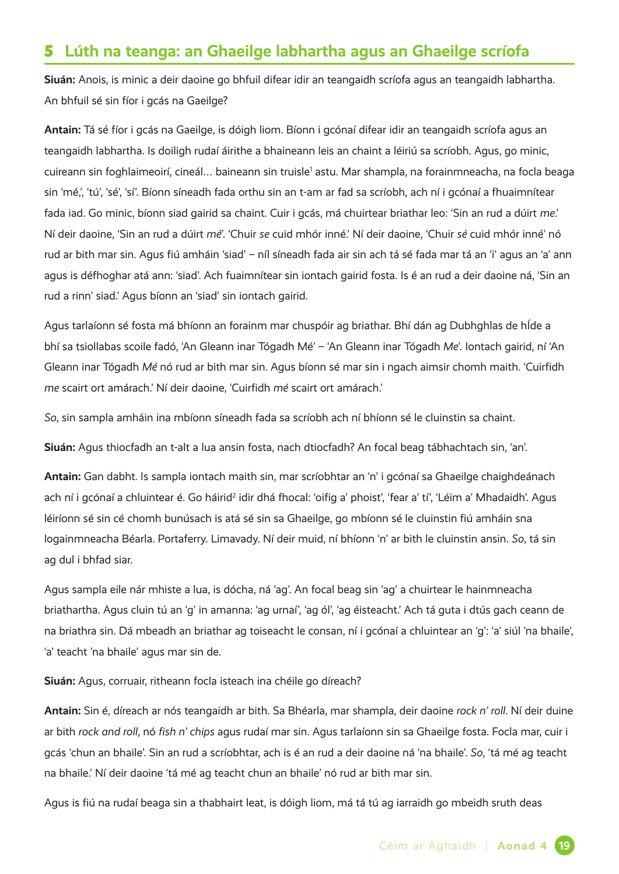## 5 **Lúth na teanga: an Ghaeilge labhartha agus an Ghaeilge scríofa**

**Siuán:** Anois, is minic a deir daoine go bhfuil difear idir an teangaidh scríofa agus an teangaidh labhartha. An bhfuil sé sin fíor i gcás na Gaeilge?

**Antain:** Tá sé fíor i gcás na Gaeilge, is dóigh liom. Bíonn i gcónaí difear idir an teangaidh scríofa agus an teangaidh labhartha. Is doiligh rudaí áirithe a bhaineann leis an chaint a léiriú sa scríobh. Agus, go minic, cuireann sin foghlaimeoirí, cineál... baineann sin truisle<sup>1</sup> astu. Mar shampla, na forainmneacha, na focla beaga sin 'mé,', 'tú', 'sé', 'sí'. Bíonn síneadh fada orthu sin an t-am ar fad sa scríobh, ach ní i gcónaí a fhuaimnítear fada iad. Go minic, bíonn siad gairid sa chaint. Cuir i gcás, má chuirtear briathar leo: 'Sin an rud a dúirt *me*.' Ní deir daoine, 'Sin an rud a dúirt *mé*'. 'Chuir *se* cuid mhór inné.' Ní deir daoine, 'Chuir *sé* cuid mhór inné' nó rud ar bith mar sin. Agus fiú amháin 'siad' - níl síneadh fada air sin ach tá sé fada mar tá an 'i' agus an 'a' ann agus is défhoghar atá ann: 'siad'. Ach fuaimnítear sin iontach gairid fosta. Is é an rud a deir daoine ná, 'Sin an rud a rinn' siad.' Agus bíonn an 'siad' sin iontach gairid.

Agus tarlaíonn sé fosta má bhíonn an forainm mar chuspóir ag briathar. Bhí dán ag Dubhghlas de hÍde a bhí sa tsiollabas scoile fadó, 'An Gleann inar Tógadh Mé' – 'An Gleann inar Tógadh *Me*'. Iontach gairid, ní 'An Gleann inar Tógadh *Mé* nó rud ar bith mar sin. Agus bíonn sé mar sin i ngach aimsir chomh maith. 'Cuirfidh *me* scairt ort amárach.' Ní deir daoine, 'Cuirfidh *mé* scairt ort amárach.'

*So*, sin sampla amháin ina mbíonn síneadh fada sa scríobh ach ní bhíonn sé le cluinstin sa chaint.

**Siuán:** Agus thiocfadh an t-alt a lua ansin fosta, nach dtiocfadh? An focal beag tábhachtach sin, 'an'.

**Antain:** Gan dabht. Is sampla iontach maith sin, mar scríobhtar an 'n' i gcónaí sa Ghaeilge chaighdeánach ach ní i gcónaí a chluintear é. Go háirid<sup>2</sup> idir dhá fhocal: 'oifig a' phoist', 'fear a' tí', 'Léim a' Mhadaidh'. Agus léiríonn sé sin cé chomh bunúsach is atá sé sin sa Ghaeilge, go mbíonn sé le cluinstin fiú amháin sna logainmneacha Béarla. Portaferry. Limavady. Ní deir muid, ní bhíonn 'n' ar bith le cluinstin ansin. *So*, tá sin ag dul i bhfad siar.

Agus sampla eile nár mhiste a lua, is dócha, ná 'ag'. An focal beag sin 'ag' a chuirtear le hainmneacha briathartha. Agus cluin tú an 'g' in amanna: 'ag urnaí', 'ag ól', 'ag éisteacht.' Ach tá guta i dtús gach ceann de na briathra sin. Dá mbeadh an briathar ag toiseacht le consan, ní i gcónaí a chluintear an 'g': 'a' siúl 'na bhaile', 'a' teacht 'na bhaile' agus mar sin de.

**Siuán:** Agus, corruair, ritheann focla isteach ina chéile go díreach?

**Antain:** Sin é, díreach ar nós teangaidh ar bith. Sa Bhéarla, mar shampla, deir daoine *rock n' roll*. Ní deir duine ar bith *rock and roll*, nó *fish n' chips* agus rudaí mar sin. Agus tarlaíonn sin sa Ghaeilge fosta. Focla mar, cuir i gcás 'chun an bhaile'. Sin an rud a scríobhtar, ach is é an rud a deir daoine ná 'na bhaile'. *So*, 'tá mé ag teacht na bhaile.' Ní deir daoine 'tá mé ag teacht chun an bhaile' nó rud ar bith mar sin.

Agus is fiú na rudaí beaga sin a thabhairt leat, is dóigh liom, má tá tú ag iarraidh go mbeidh sruth deas